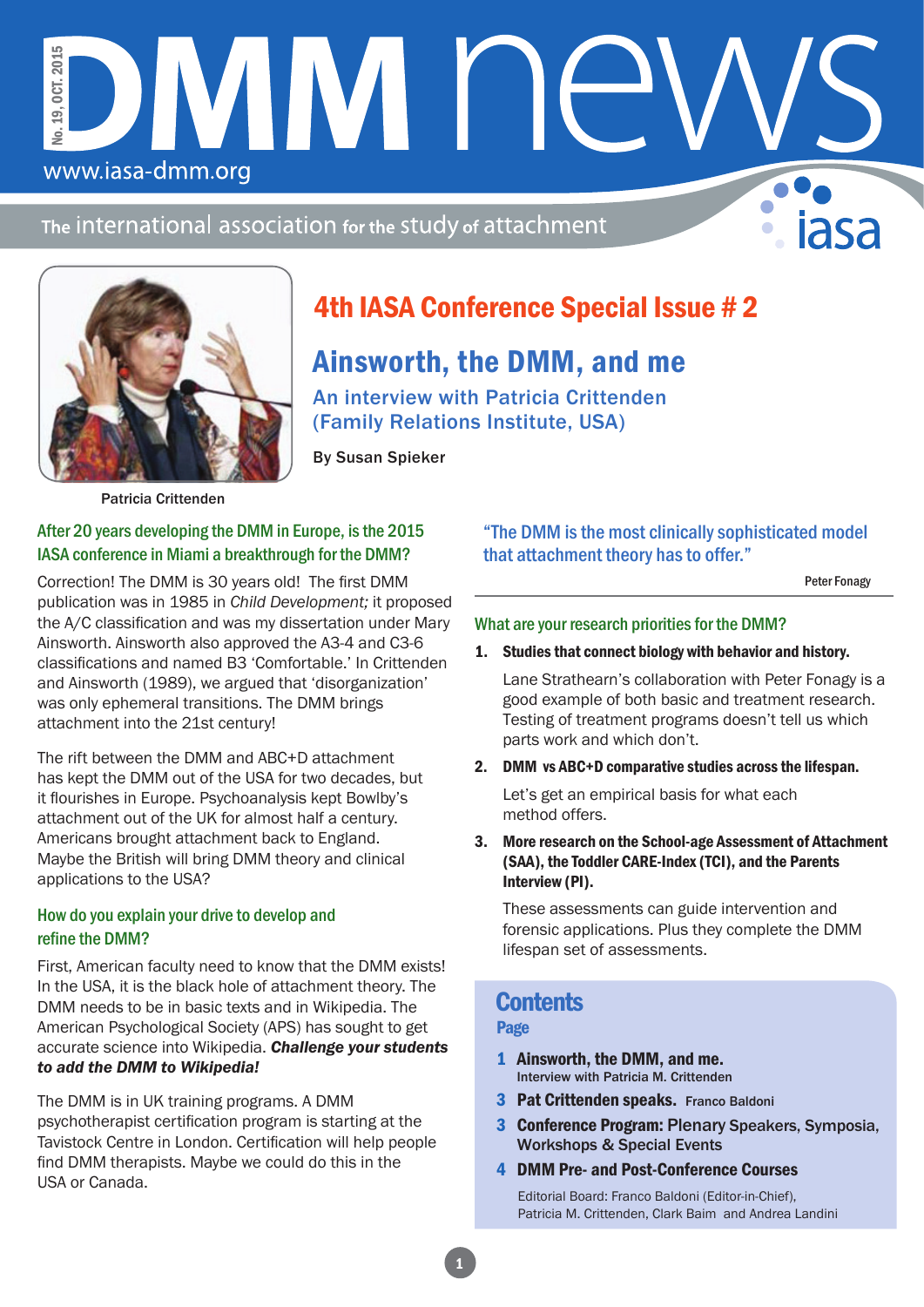The international association for the study of attachment

DIMINI I E



www.iasa-dmm.org

No. 19, OCT. 2015

No. 19.

**OCT. 2015** 

# 4th IASA Conference Special Issue # 2

## Ainsworth, the DMM, and me

An interview with Patricia Crittenden (Family Relations Institute, USA)

By Susan Spieker

Patricia Crittenden

### After 20 years developing the DMM in Europe, is the 2015 IASA conference in Miami a breakthrough for the DMM?

Correction! The DMM is 30 years old! The first DMM publication was in 1985 in *Child Development;* it proposed the A/C classification and was my dissertation under Mary Ainsworth. Ainsworth also approved the A3-4 and C3-6 classifications and named B3 'Comfortable.' In Crittenden and Ainsworth (1989), we argued that 'disorganization' was only ephemeral transitions. The DMM brings attachment into the 21st century!

The rift between the DMM and ABC+D attachment has kept the DMM out of the USA for two decades, but it flourishes in Europe. Psychoanalysis kept Bowlby's attachment out of the UK for almost half a century. Americans brought attachment back to England. Maybe the British will bring DMM theory and clinical applications to the USA?

### How do you explain your drive to develop and refine the DMM?

First, American faculty need to know that the DMM exists! In the USA, it is the black hole of attachment theory. The DMM needs to be in basic texts and in Wikipedia. The American Psychological Society (APS) has sought to get accurate science into Wikipedia. *Challenge your students to add the DMM to Wikipedia!*

The DMM is in UK training programs. A DMM psychotherapist certification program is starting at the Tavistock Centre in London. Certification will help people find DMM therapists. Maybe we could do this in the USA or Canada.

"The DMM is the most clinically sophisticated model that attachment theory has to offer."

Peter Fonagy

#### What are your research priorities for the DMM?

1. Studies that connect biology with behavior and history.

Lane Strathearn's collaboration with Peter Fonagy is a good example of both basic and treatment research. Testing of treatment programs doesn't tell us which parts work and which don't.

2. DMM vs ABC+D comparative studies across the lifespan.

Let's get an empirical basis for what each method offers.

3. More research on the School-age Assessment of Attachment (SAA), the Toddler CARE-Index (TCI), and the Parents Interview (PI).

These assessments can guide intervention and forensic applications. Plus they complete the DMM lifespan set of assessments.

### **Contents**

Page

- 1 Ainsworth, the DMM, and me. Interview with Patricia M. Crittenden
- 3 Pat Crittenden speaks. Franco Baldoni
- 3 Conference Program: Plenary Speakers, Symposia, Workshops & Special Events
- 4 DMM Pre- and Post-Conference Courses

Editorial Board: Franco Baldoni (Editor-in-Chief), Patricia M. Crittenden, Clark Baim and Andrea Landini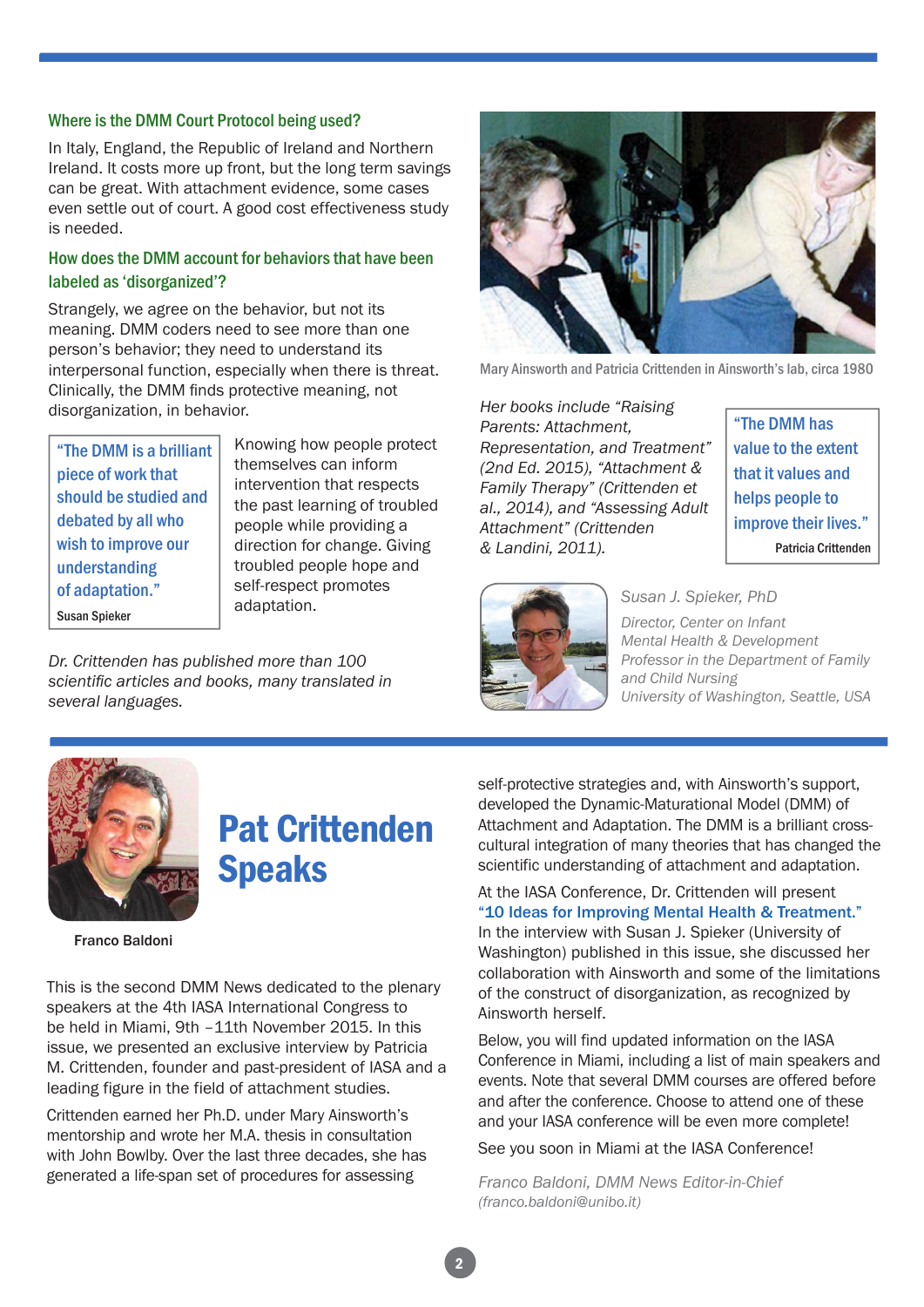#### Where is the DMM Court Protocol being used?

In Italy, England, the Republic of Ireland and Northern Ireland. It costs more up front, but the long term savings can be great. With attachment evidence, some cases even settle out of court. A good cost effectiveness study is needed.

#### How does the DMM account for behaviors that have been labeled as 'disorganized'?

Strangely, we agree on the behavior, but not its meaning. DMM coders need to see more than one person's behavior; they need to understand its interpersonal function, especially when there is threat. Clinically, the DMM finds protective meaning, not disorganization, in behavior.

"The DMM is a brilliant piece of work that should be studied and debated by all who wish to improve our understanding of adaptation." Susan Spieker

Knowing how people protect themselves can inform intervention that respects the past learning of troubled people while providing a direction for change. Giving troubled people hope and self-respect promotes adaptation.

*Dr. Crittenden has published more than 100 scientific articles and books, many translated in several languages.*



Mary Ainsworth and Patricia Crittenden in Ainsworth's lab, circa 1980

*Her books include "Raising Parents: Attachment, Representation, and Treatment" (2nd Ed. 2015), "Attachment & Family Therapy" (Crittenden et al., 2014), and "Assessing Adult Attachment" (Crittenden & Landini, 2011).* 

"The DMM has value to the extent that it values and helps people to improve their lives." Patricia Crittenden



*Susan J. Spieker, PhD* 

*Director, Center on Infant Mental Health & Development Professor in the Department of Family and Child Nursing University of Washington, Seattle, USA*



# Pat Crittenden Speaks

Franco Baldoni

This is the second DMM News dedicated to the plenary speakers at the 4th IASA International Congress to be held in Miami, 9th –11th November 2015. In this issue, we presented an exclusive interview by Patricia M. Crittenden, founder and past-president of IASA and a leading figure in the field of attachment studies.

Crittenden earned her Ph.D. under Mary Ainsworth's mentorship and wrote her M.A. thesis in consultation with John Bowlby. Over the last three decades, she has generated a life-span set of procedures for assessing

self-protective strategies and, with Ainsworth's support, developed the Dynamic-Maturational Model (DMM) of Attachment and Adaptation. The DMM is a brilliant crosscultural integration of many theories that has changed the scientific understanding of attachment and adaptation.

At the IASA Conference, Dr. Crittenden will present "10 Ideas for Improving Mental Health & Treatment." In the interview with Susan J. Spieker (University of Washington) published in this issue, she discussed her collaboration with Ainsworth and some of the limitations of the construct of disorganization, as recognized by Ainsworth herself.

Below, you will find updated information on the IASA Conference in Miami, including a list of main speakers and events. Note that several DMM courses are offered before and after the conference. Choose to attend one of these and your IASA conference will be even more complete!

See you soon in Miami at the IASA Conference!

*Franco Baldoni, DMM News Editor-in-Chief (franco.baldoni@unibo.it)*